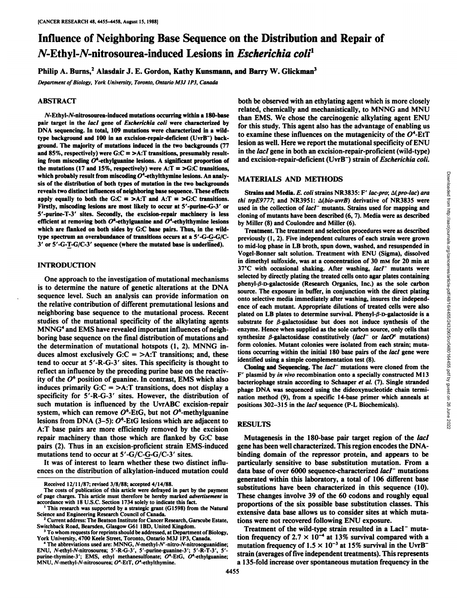# Influence of Neighboring Base Sequence on the Distribution and Repair of N-Ethyl-N-nitrosourea-induced Lesions in Escherichia coli<sup>1</sup>

Philip A. Burns,<sup>2</sup> Alasdair J. E. Gordon, Kathy Kunsmann, and Barry W. Glickman<sup>3</sup>

*Department of Biology, York University, Toronto, Ontario M3J 1P3, Canada* 

## **ABSTRACT**

N-Ethyl-N-nitrosourea-induced mutations occurring within a 180-base pair target in the *lacl* gene of *Escherichia coli* were characterized by DNA sequencing. In total, 109 mutations were characterized in a wildtype background and 100 in an excision-repair-deficient (UvrB<sup>-</sup>) background. The majority of mutations induced in the two backgrounds (77 and 85%, respectively) were  $G:C = \gt A$ : T transitions, presumably result-<br>ing from miscoding  $O^6$ -ethylguanine lesions. A significant proportion of and excision-repair-deficient (UvrB<sup>-</sup>) strain of *Escherichia coli*. ing from miscoding  $O^6$ -ethylguanine lesions. A significant proportion of the mutations (17 and 15%, respectively) were  $A: T = \bigsetminus G:C$  transitions, which probably result from miscoding  $O<sup>4</sup>$ -ethylthymine lesions. An analysis of the distribution of both types of mutation in the two backgrounds reveals two distinct influences of neighboring base sequence. These effects apply equally to both the G:C =  $>A: T = G: C$  transitions. Firstly, miscoding lesions are most likely to occur at 5'-purine-G-3' or 5'-purine-T-3' sites. Secondly, the excision-repair machinery is less efficient at removing both  $O^4$ -ethylguanine and  $O^4$ -ethylthymine lesions which are flanked on both sides by G:C base pairs. Thus, in the wildtype spectrum an overabundance of transitions occurs at a 5'-G-G-G/C-3' or 5'-G-T-G/C-3' sequence (where the mutated base is underlined).

## **INTRODUCTION**

One approach to the investigation of mutational mechanisms is to determine the nature of genetic alterations at the DNA sequence level. Such an analysis can provide information on the relative contribution of different premutational lesions and neighboring base sequence to the mutational process. Recent studies of the mutational specificity of the alkylating agents MNNG<sup>4</sup> and EMS have revealed important influences of neighboring base sequence on the final distribution of mutations and synthesize  $\beta$ -galactosidase constitutively (lacl<sup>-</sup> or lacO<sup>c</sup> mutations) the determination of mutational hotspots (1, 2). MNNG in duces almost exclusively  $G:C = >A$ : T transitions; and, these tend to occur at 5'-R-G-3' sites. This specificity is thought to reflect an influence by the preceding purine base on the reactiv ity of the  $O<sup>6</sup>$  position of guanine. In contrast, EMS which also induces primarily  $G:C = \gt A$ : T transitions, does not display a specificity for 5'-R-G-3' sites. However, the distribution of such mutation is influenced by the UvrABC excision-repair system, which can remove  $O^6$ -EtG, but not  $O^6$ -methylguanine lesions from DNA (3–5):  $O^6$ -EtG lesions which are adjacent to A:T base pairs are more efficiently removed by the excision repair machinery than those which are flanked by G:C base pairs (2). Thus in an excision-proficient strain EMS-induced mutations tend to occur at 5'-G/C-G-G/C-3' sites.

It was of interest to learn whether these two distinct influ

both be observed with an ethylating agent which is more closely related, chemically and mechanistically, to MNNG and MNU than EMS. We chose the carcinogenic alkylating agent ENU for this study. This agent also has the advantage of enabling us to examine these influences on the mutagenicity of the  $O<sup>4</sup>$ -EtT lesion as well. Here we report the mutational specificity of ENU in the *lacI* gene in both an excision-repair-proficient (wild-type)

## MATERIALS AND METHODS

*thi trpE9777*; and *NR3951:*  $\Delta(bio-uvrB)$  derivative of *NR3835* were used in the collection of lacI<sup>-</sup> mutants. Strains used for mapping and cloning of mutants have been described (6, 7). Media were as described by Miller (8) and Coulondre and Miller (6).

IATERIALS AND METHODS<br>
Strains and Media. E. coli strains NR3835: F' lac-pro;  $\Delta(pro-lac)$  ara<br>
if trpE9777; and NR3951:  $\Delta(bio-uvrB)$  derivative of NR3835 were<br>
if trpE9777; and NR3951:  $\Delta(bio-uvrB)$  derivative of NR3835 were<br> Treatment. The treatment and selection procedures were as described previously (1, 2). Five independent cultures of each strain were grown to mid-log phase in LB broth, spun down, washed, and resuspended in Vogel-Bonner salt solution. Treatment with ENU (Sigma), dissolved in dimethyl sulfoxide, was at a concentration of 30 mm for 20 min at  $37^{\circ}$ C with occasional shaking. After washing,  $lacI^-$  mutants were selected by directly plating the treated cells onto agar plates containing phenyl- $\beta$ -D-galactoside (Research Organics, Inc.) as the sole carbon source. The exposure in buffer, in conjunction with the direct plating onto selective media immediately after washing, insures the independ ence of each mutant. Appropriate dilutions of treated cells were also plated on LB plates to determine survival. Phenyl- $\beta$ -D-galactoside is a substrate for  $\beta$ -galactosidase but does not induce synthesis of the enzyme. Hence when supplied as the sole carbon source, only cells that form colonies. Mutant colonies were isolated from each strain; mutations occurring within the initial 180 base pairs of the *lacl* gene were identified using a simple complementation test (8).

Cloning and Sequencing. The  $lacI^-$  mutations were cloned from the F' plasmid by in vivo recombination onto a specially constructed Ml3 bacteriophage strain according to Schaaper et al. (7). Single stranded phage DNA was sequenced using the dideoxynucleotide chain termi nation method (9), from a specific 14 base primer which anneals at positions 302-315 in the *lacI* sequence (P-L Biochemicals).

## RESULTS

ences on the distribution of alkylation-induced mutation could data base of over 6000 sequence-characterized lacl<sup>-</sup> mutations Mutagenesis in the 180-base pair target region of the lacl gene has been well characterized. This region encodes the DNAbinding domain of the repressor protein, and appears to be particularly sensitive to base substitution mutation. From a generated within this laboratory, a total of 106 different base substitutions have been characterized in this sequence (10). These changes involve 39 of the 60 codons and roughly equal proportions of the six possible base substitution classes. This extensive data base allows us to consider sites at which muta tions were not recovered following ENU exposure.<br>Treatment of the wild-type strain resulted in a LacI<sup>-</sup> muta-

tion frequency of 2.7  $\times$  10<sup>-4</sup> at 13% survival compared with a mutation frequency of  $1.5 \times 10^{-3}$  at 15% survival in the UvrB<sup>-</sup> strain (averages of five independent treatments). This represents a 135-fold increase over spontaneous mutation frequency in the

Received 12/11/87; revised 3/8/88; accepted 4/14/88.

The costs of publication of this article were defrayed in part by the payment of page charges. This article must therefore be hereby marked advertisement in accordance with 18 U.S.C. Section 1734 solely to indicate this fact.

<sup>&</sup>lt;sup>1</sup> This research was supported by a strategic grant (G1598) from the Natural Science and Engineering Research Council of Canada. 2Current address: The Beatson Institute for Cancer Research, Garscube Estate,

Switchback Road, Bearsden, Glasgow G61 1BD, United Kingdom. *3To whom requests for reprints should be addressed, at Department of Biology,*

York University, <sup>4700</sup> Keele Street, Toronto, Ontario M3J 1P3, Canada. *<sup>4</sup> The abbreviations used are; MNNG, A'-methyl-/V'-nitro-yV-nitrosoguanidine;*

ENU, A'-ethyl-A'-nitrosourea; 5'-R-G-3', 5'-purine-guanine-3'; 5'-R-T-3', 5' purine-thymine-3'; EMS, ethyl methanesulfonate;  $O^6$ -EtG,  $O^6$ -ethylguanine; MNU, N-methyl-N-nitrosourea;  $O^4$ -EtT,  $O^4$ -ethylthymine.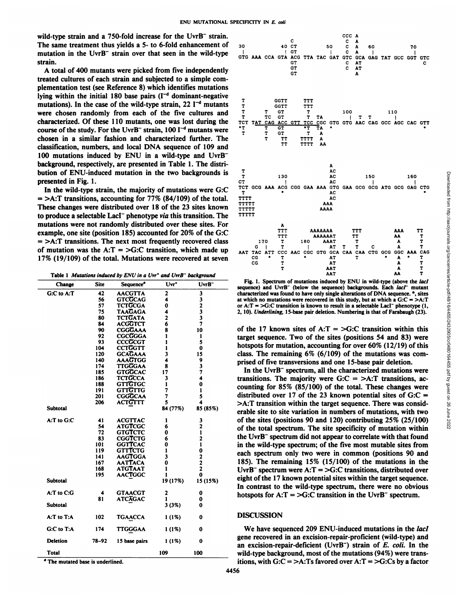wild-type strain and a 750-fold increase for the  $UvrB^-$  strain. The same treatment thus yields a 5- to 6-fold enhancement of <sub>30</sub> mutation in the UvrB" strain over that seen in the wild-type strain.

A total of 400 mutants were picked from five independently treated cultures of each strain and subjected to a simple com plementation test (see Reference 8) which identifies mutations lying within the initial 180 base pairs  $(I<sup>-d</sup>$  dominant-negative mutations). In the case of the wild-type strain, 22  $I^{-d}$  mutants were chosen randomly from each of the five cultures and characterized. Of these 110 mutants, one was lost during the  $TCT TAT$ course of the study. For the UvrB<sup>-</sup> strain, 100  $I^{-d}$  mutants were chosen in a similar fashion and characterized further. The classification, numbers, and local DNA sequence of <sup>109</sup> and <sup>100</sup> mutations induced by ENU in <sup>a</sup> wild-type and UvrB" background, respectively, are presented in Table 1. The distri bution of ENU-induced mutation in the two backgrounds is  $\frac{T}{T}$ presented in Fig.1.

In the wild-type strain, the majority of mutations were  $G:C$ <sup>TC</sup><sub>T</sub>  $=$  >A:T transitions, accounting for 77% (84/109) of the total. TITT<br>These changes were distributed over 18 of the 23 sites known These changes were distributed over 18 of the 23 sites known  $\frac{171711}{17777}$ to produce a selectable LacI<sup>-</sup> phenotype *via* this transition. The  $T^{\text{TTTI}}$ mutations were not randomly distributed over these sites. For example, one site (position 185) accounted for 20% of the G:C  $=$  >A:T transitions. The next most frequently recovered class of mutation was the A:T = >G:C transition, which made up  $_{AATTAC}$   $_{ATT}$ 17% (19/109) of the total. Mutations were recovered at seven  $\frac{CG}{CG}$ 

Table 1 Mutations induced by ENU in a Uvr<sup>+</sup> and UvrB<sup>-</sup> background

| Change                                      | Site | Sequence'                        | $Uvr^*$  | $UvrB^-$ | Fig. 1. Spectrum of mutations induced by ENU in wild-type (above the <i>lact</i><br>sequence) and UvrB <sup>-</sup> (below the sequence) backgrounds. Each lacI <sup>-</sup> mutant |
|---------------------------------------------|------|----------------------------------|----------|----------|-------------------------------------------------------------------------------------------------------------------------------------------------------------------------------------|
| G:C to A:T                                  |      | <b>AACGTTA</b>                   |          |          | characterized was found to have only single alterations of DNA sequence. *, sites                                                                                                   |
|                                             |      | <b>GTCGCAG</b>                   |          |          | at which no mutations were recovered in this study, but at which a $G:C = \gt A$ .                                                                                                  |
|                                             |      | <b>TCTGCGA</b>                   |          |          | or A:T = >G:C transition is known to result in a selectable LacI <sup>-</sup> phenotype (1.                                                                                         |
|                                             |      | <b>TAAGAGA</b>                   |          |          | 2, 10). Underlining, 15-base pair deletion. Numbering is that of Farabaugh (23).                                                                                                    |
|                                             |      | <b>TCTGATA</b>                   |          |          |                                                                                                                                                                                     |
|                                             |      | <b>ACGGTCT</b>                   |          |          | of the 17 known sites of $A: T = \sum G: C$ transition within this                                                                                                                  |
|                                             |      | <b>CGGGAAA</b>                   |          |          |                                                                                                                                                                                     |
|                                             |      | <b>CGCGGGA</b><br><b>CCCGCGT</b> |          |          | target sequence. Two of the sites (positions 54 and 83) were                                                                                                                        |
|                                             | 104  | <b>CCTGGTT</b>                   |          |          | hotspots for mutation, accounting for over $60\%$ (12/19) of this                                                                                                                   |
|                                             |      | <b>GCAGAAA</b>                   |          |          | class. The remaining $6\%$ (6/109) of the mutations was com-                                                                                                                        |
|                                             | 140  | AAAGTGG                          |          |          | prised of five transversions and one 15-base pair deletion.                                                                                                                         |
|                                             |      | <b>TTGGGAA</b>                   |          |          | In the UvrB <sup>-</sup> spectrum, all the characterized mutations were                                                                                                             |
|                                             |      | GTGGCAC<br>TCTGCCA               |          |          |                                                                                                                                                                                     |
|                                             |      | <b>GTTGTGC</b>                   |          |          | transitions. The majority were $G:C = \gt A$ : T transitions, ac-                                                                                                                   |
|                                             |      | <b>GTTGTTG</b>                   |          |          | counting for $85\%$ ( $85/100$ ) of the total. These changes were                                                                                                                   |
|                                             |      | <b>CGGGCAA</b>                   |          |          | distributed over 17 of the 23 known potential sites of $G:C =$                                                                                                                      |
|                                             | 206  | <b>ACTGTTT</b>                   |          |          | >A:T transition within the target sequence. There was consid-                                                                                                                       |
| Subtotal                                    |      |                                  | 84 (77%) | 85 (85%) | erable site to site variation in numbers of mutations, with two                                                                                                                     |
| A:T to G:C                                  |      | <b>ACGTTAC</b>                   |          |          | of the sites (positions 90 and 120) contributing $25\%$ (25/100)                                                                                                                    |
|                                             |      | <b>ATGTCGC</b>                   |          |          |                                                                                                                                                                                     |
|                                             |      | <b>GTGTCTC</b>                   |          |          | of the total spectrum. The site specificity of mutation within                                                                                                                      |
|                                             |      | <b>CGGTCTG</b>                   |          |          | the UvrB <sup>-</sup> spectrum did not appear to correlate with that found                                                                                                          |
|                                             |      | <b>GGTTCAC</b>                   |          |          | in the wild-type spectrum; of the five most mutable sites from                                                                                                                      |
|                                             |      | <b>GTTTCTG</b>                   |          |          | each spectrum only two were in common (positions 90 and                                                                                                                             |
|                                             |      | <b>AAGTGGA</b>                   |          |          | 185). The remaining $15\%$ (15/100) of the mutations in the                                                                                                                         |
|                                             | 168  | <b>AATTACA</b><br><b>ATGTAAT</b> |          |          |                                                                                                                                                                                     |
|                                             | 195  | <b>AACTGGC</b>                   |          |          | UvrB <sup>-</sup> spectrum were $A: T = > G:C$ transitions, distributed over                                                                                                        |
| Subtotal                                    |      |                                  | 19 (17%) | 15 (15%) | eight of the 17 known potential sites within the target sequence.                                                                                                                   |
|                                             |      |                                  |          |          | In contrast to the wild-type spectrum, there were no obvious                                                                                                                        |
| A:T to C:G                                  |      | <b>GTAACGT</b>                   |          |          | hotspots for $A: T = \bigcup C:C$ transition in the UvrB <sup>-</sup> spectrum.                                                                                                     |
| Subtotal                                    | 81   | ATCAGAC                          |          |          |                                                                                                                                                                                     |
| A:T to T:A                                  | 102  | TGAACCA                          | (1%)     |          | <b>DISCUSSION</b>                                                                                                                                                                   |
|                                             |      |                                  |          |          |                                                                                                                                                                                     |
| G:C to T:A                                  | 174  | TTGGGAA                          | 1 (1%)   |          | We have sequenced 209 ENU-induced mutations in the laci                                                                                                                             |
|                                             |      |                                  |          |          | gene recovered in an excision-repair-proficient (wild-type) and                                                                                                                     |
| Deletion                                    |      | 78-92 15 base pairs              |          |          | an excision-repair-deficient (UvrB <sup>-</sup> ) strain of E. coli. In the                                                                                                         |
| Total                                       |      |                                  | 109      | 100      | wild-type background, most of the mutations (94%) were trans-                                                                                                                       |
| <sup>8</sup> The mutated hase is underlined |      |                                  |          |          | itions, with $C(C - \lambda A)$ Ts favored over $A(T - \lambda C)$ is by a factor                                                                                                   |



Fig. 1. Spectrum of mutations induced by ENU in wild-type (above the lacI sequence) and UvrB" (below the sequence) backgrounds. Each lacl<sup>+</sup> mutant characterized was found to have only single alterations of DNA sequence. \*, sites at which no mutations were recovered in this study, but at which a  $G:C = >A$ :T or  $A: T = \bigcup_{i=1}^{n} C_i$ : transition is known to result in a selectable LacI<sup>-</sup> phenotype (1, 2, 10). Underlining, 15 base pair deletion. Numbering is that of Farabaugh (23).

#### DISCUSSION

 $(10\%)$  0 supervision-repair-deficient (UvrB") strain of E. coli. In the gene recovered in an excision-repair-proficient (wild-type) and wild-type background, most of the mutations (94%) were trans itions, with  $G:C = >A$ : Ts favored over  $A:T = >G:Cs$  by a factor

4456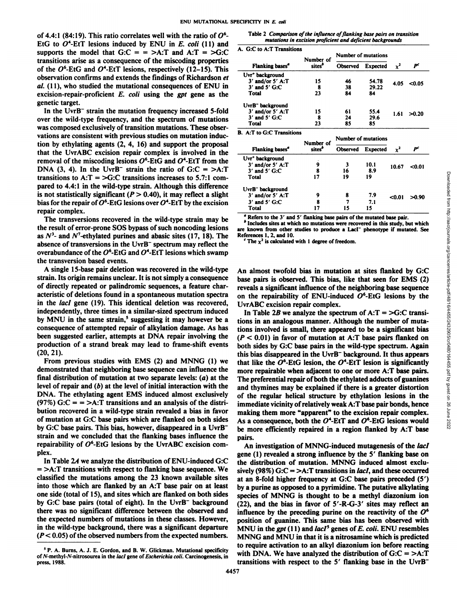of 4.4:1 (84:19). This ratio correlates well with the ratio of  $O^6$ -EtG to  $O^4$ -EtT lesions induced by ENU in E. coli (11) and supports the model that  $G:C = \sum A:T$  and  $A:T = \sum G:C$ transitions arise as a consequence of the miscoding properties of the  $O^6$ -EtG and  $O^4$ -EtT lesions, respectively (12–15). This observation confirms and extends the findings of Richardson et *al. (11), who studied the mutational consequences of ENU in* excision-repair-proficient  $E$ . *coli* using the *gpt* gene as the genetic target.<br>In the UvrB<sup>-</sup> strain the mutation frequency increased 5-fold

over the wild-type frequency, and the spectrum of mutations was composed exclusively of transition mutations. These obser vations are consistent with previous studies on mutation induc tion by ethylating agents (2, 4, 16) and support the proposal that the UvrABC excision repair complex is involved in the removal of the miscoding lesions  $O^6$ -EtG and  $O^4$ -EtT from the DNA (3, 4). In the UvrB<sup>-</sup> strain the ratio of  $G:C = >A:T$ transitions to  $A: T = \bigcup_{i=1}^{n} C_i$  transitions increases to 5.7:1 compared to 4.4:1 in the wild-type strain. Although this difference is not statistically significant ( $P > 0.40$ ), it may reflect a slight bias for the repair of  $O^4$ -EtG lesions over  $O^4$ -EtT by the excision repair complex.

The transversions recovered in the wild-type strain may be the result of error-prone SOS bypass of such noncoding lesions are known from other as  $N<sup>3</sup>$ - and  $N<sup>7</sup>$ -ethylated purines and abasic sites (17, 18). The References 1, 2, and 10. absence of transversions in the UvrB" spectrum may reflect the overabundance of the  $O^6$ -EtG and  $O^4$ -EtT lesions which swamp the transversion based events.

A single 15-base pair deletion was recovered in the wild-type strain. Its origin remains unclear. It is not simply a consequence of directly repeated or palindromic sequences, a feature char acteristic of deletions found in a spontaneous mutation spectra on the repairability of ENU-induced  $O^6$ -EtG lesions by the in the *lacl* gene (19). This identical deletion was recovered, independently, three times in a similar-sized spectrum induced by MNU in the same strain,<sup>5</sup> suggesting it may however be a consequence of attempted repair of alkylation damage. As has been suggested earlier, attempts at DNA repair involving the production of a strand break may lead to frame-shift events (20,21).

From previous studies with EMS (2) and MNNG (1) we demonstrated that neighboring base sequence can influence the final distribution of mutation at two separate levels: (a) at the level of repair and (b) at the level of initial interaction with the DNA. The ethylating agent EMS induced almost exclusively (97%) G: $C = \frac{1}{2}$  transitions and an analysis of the distribution recovered in a wild-type strain revealed a bias in favor of mutation at G:C base pairs which are flanked on both sides by G:C base pairs. This bias, however, disappeared in <sup>a</sup> UvrB" strain and we concluded that the flanking bases influence the repairability of  $O^6$ -EtG lesions by the UvrABC excision complex.

In Table 2A we analyze the distribution of ENU-induced G:C  $=$  >A:T transitions with respect to flanking base sequence. We classified the mutations among the 23 known available sites into those which are flanked by an A:T base pair on at least one side (total of 15), and sites which are flanked on both sides by G:C base pairs (total of eight). In the UvrB" background there was no significant difference between the observed and the expected numbers of mutations in these classes. However, in the wild-type background, there was a significant departure *(P< 0.05) of the observed numbers from the expected numbers.*

Table 2 Comparison of the influence of flanking base pairs on transition *mutations in excision proficient and deficient backgrounds*

**A. G:C to A:T Transitions**

|                                           | Number of          | Number of mutations |                 |                |                |  |
|-------------------------------------------|--------------------|---------------------|-----------------|----------------|----------------|--|
| <b>Flanking bases</b> <sup><i>a</i></sup> | sites <sup>®</sup> | <b>Observed</b>     | <b>Expected</b> | $\mathbf{v}^2$ | P <sup>c</sup> |  |
| Uvr <sup>+</sup> background               |                    |                     |                 |                |                |  |
| $3'$ and/or $5'$ A:T                      | 15                 | 46                  | 54.78           | 4.05           | < 0.05         |  |
| $3'$ and $5'$ G:C                         | 8                  | 38                  | 29.22           |                |                |  |
| Total                                     | 23                 | 84                  | 84              |                |                |  |
| UvrB <sup>-</sup> background              |                    |                     |                 |                |                |  |
| $3'$ and/or $5'$ A:T                      | 15                 | 61                  | 55.4            | 1.61           | >0.20          |  |
| $3'$ and $5'$ G:C                         |                    | 24                  | 29.6            |                |                |  |
| Total                                     | 23                 | 85                  | 85              |                |                |  |

**B.** A:T to G:C Transitions

|                              | Number of<br>sites <sup>6</sup> | <b>Number of mutations</b> |                 |        |        |
|------------------------------|---------------------------------|----------------------------|-----------------|--------|--------|
| Flanking bases"              |                                 | Observed                   | <b>Expected</b> | Y      | P      |
| Uvr <sup>+</sup> background  |                                 |                            |                 |        |        |
| $3'$ and/or $5'$ A:T         | 9                               |                            | 10.1            | 10.67  | < 0.01 |
| $3'$ and $5'$ G:C            | 8                               | 16                         | 8.9             |        |        |
| 17<br>Total                  |                                 | 19                         | 19              |        |        |
| UvrB <sup>-</sup> background |                                 |                            |                 |        |        |
| $3'$ and/or $5'$ A:T         | 9                               | 8                          | 7.9             | $0.01$ | >0.90  |
| $3'$ and $5'$ G:C            | 8                               |                            | 7.1             |        |        |
| Total                        |                                 | 15                         | 15              |        |        |

Refers to the 3' and 5' flanking base pairs of the mutated base pair.

are known from other studies to produce a Laci' phenotype if mutated. See

The  $\chi^2$  is calculated with 1 degree of freedom.

An almost twofold bias in mutation at sites flanked by G:C base pairs is observed. This bias, like that seen for EMS (2) reveals a significant influence of the neighboring base sequence UvrABC excision repair complex.

That<br>
Trotal  $\begin{array}{ll}\n\text{Total} & \text{17} & \text{19} & \text{19} \\
\text{19} & \text{19} & \text{19} \\
\text{10} & \text{19} & \text{19} \\
\text{10} & \text{10} & \text{10} \\
\text{11} & \text{12} & \text{13} \\
\text{12} & \text{14} & \text{15} \\
\text{2} & \text{15} & \text{16} \\
\text{2} & \text{16} & \text{17} \\
\text{3} & \text{17} & \text{18} \\
\text{2} & \$ In Table 2B we analyze the spectrum of  $A: T = > G:C$  transitions in an analogous manner. Although the number of muta tions involved is small, there appeared to be a significant bias *(P < 0.01) in favor of mutation atA:T base pairs flanked on* both sides by G:C base pairs in the wild-type spectrum. Again this bias disappeared in the  $UvrB^-$  background. It thus appears that like the  $O^6$ -EtG lesion, the  $O^4$ -EtT lesion is significantly more repairable when adjacent to one or more A:T base pairs. The preferential repair of both the ethylated adducts of guanines and thymines may be explained if there is a greater distortion of the regular helical structure by ethylation lesions in the immediate vicinity of relatively weak A:T base pair bonds, hence making them more "apparent" to the excision repair complex. As a consequence, both the  $O^4$ -EtT and  $O^6$ -EtG lesions would be more efficiently repaired in a region flanked by A:T base pairs.

An investigation of MNNG-induced mutagenesis of the lacl gene (1) revealed a strong influence by the 5' flanking base on the distribution of mutation. MNNG induced almost exclu sively (98%) G: $C = > A$ : T transitions in *lac1*, and these occurred at an 8-fold higher frequency at G:C base pairs preceded (5') by a purine as opposed to a pyrimidine. The putative alkylating species of MNNG is thought to be a methyl diazonium ion (22), and the bias in favor of 5'-R-G-3' sites may reflect an influence by the preceding purine on the reactivity of the  $O^6$ position of guanine. This same bias has been observed with MNU in the gpt  $(11)$  and *lacI*<sup>5</sup> genes of *E. coli.* ENU resembles MNNG and MNU in that it is a nitrosamine which is predicted to require activation to an alkyl diazonium ion before reacting with DNA. We have analyzed the distribution of  $G:C = \gt A$ :T transitions with respect to the 5' flanking base in the UvrB"

<sup>5</sup> P. A. Burns, A. J. E. Gordon, and B. W. Glickman. Mutational specificity of N-methyl-N-nitrosourea in the lacl gene of Escherichia coli. Carcinogenesis, in press, 1988.